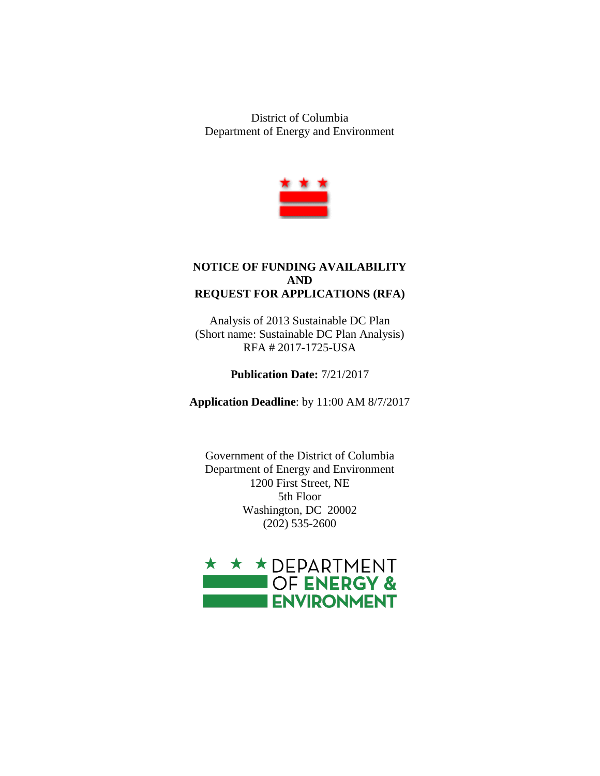District of Columbia Department of Energy and Environment



## **NOTICE OF FUNDING AVAILABILITY AND REQUEST FOR APPLICATIONS (RFA)**

Analysis of 2013 Sustainable DC Plan (Short name: Sustainable DC Plan Analysis) RFA # 2017-1725-USA

**Publication Date:** 7/21/2017

**Application Deadline**: by 11:00 AM 8/7/2017

Government of the District of Columbia Department of Energy and Environment 1200 First Street, NE 5th Floor Washington, DC 20002 (202) 535-2600

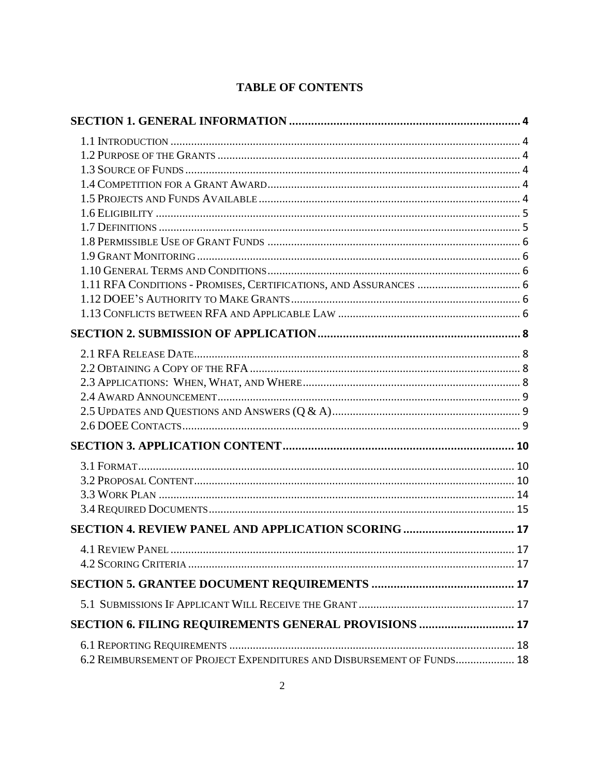# **TABLE OF CONTENTS**

| SECTION 6. FILING REQUIREMENTS GENERAL PROVISIONS  17                  |  |
|------------------------------------------------------------------------|--|
|                                                                        |  |
| 6.2 REIMBURSEMENT OF PROJECT EXPENDITURES AND DISBURSEMENT OF FUNDS 18 |  |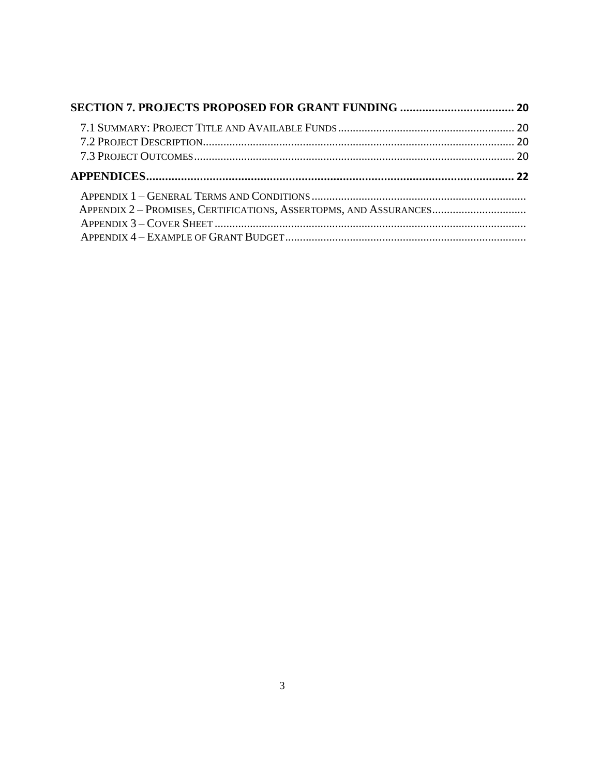| APPENDIX 2 - PROMISES, CERTIFICATIONS, ASSERTOPMS, AND ASSURANCES |  |
|-------------------------------------------------------------------|--|
|                                                                   |  |
|                                                                   |  |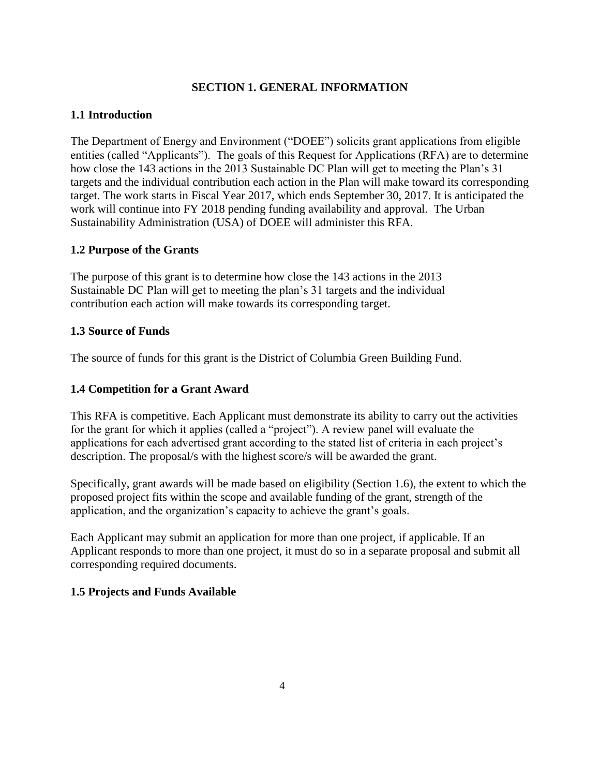## **SECTION 1. GENERAL INFORMATION**

## <span id="page-3-1"></span><span id="page-3-0"></span>**1.1 Introduction**

The Department of Energy and Environment ("DOEE") solicits grant applications from eligible entities (called "Applicants"). The goals of this Request for Applications (RFA) are to determine how close the 143 actions in the 2013 Sustainable DC Plan will get to meeting the Plan's 31 targets and the individual contribution each action in the Plan will make toward its corresponding target. The work starts in Fiscal Year 2017, which ends September 30, 2017. It is anticipated the work will continue into FY 2018 pending funding availability and approval. The Urban Sustainability Administration (USA) of DOEE will administer this RFA.

#### <span id="page-3-2"></span>**1.2 Purpose of the Grants**

The purpose of this grant is to determine how close the 143 actions in the 2013 Sustainable DC Plan will get to meeting the plan's 31 targets and the individual contribution each action will make towards its corresponding target.

### <span id="page-3-3"></span>**1.3 Source of Funds**

The source of funds for this grant is the District of Columbia Green Building Fund.

## <span id="page-3-4"></span>**1.4 Competition for a Grant Award**

This RFA is competitive. Each Applicant must demonstrate its ability to carry out the activities for the grant for which it applies (called a "project"). A review panel will evaluate the applications for each advertised grant according to the stated list of criteria in each project's description. The proposal/s with the highest score/s will be awarded the grant.

Specifically, grant awards will be made based on eligibility (Section 1.6), the extent to which the proposed project fits within the scope and available funding of the grant, strength of the application, and the organization's capacity to achieve the grant's goals.

Each Applicant may submit an application for more than one project, if applicable. If an Applicant responds to more than one project, it must do so in a separate proposal and submit all corresponding required documents.

## <span id="page-3-5"></span>**1.5 Projects and Funds Available**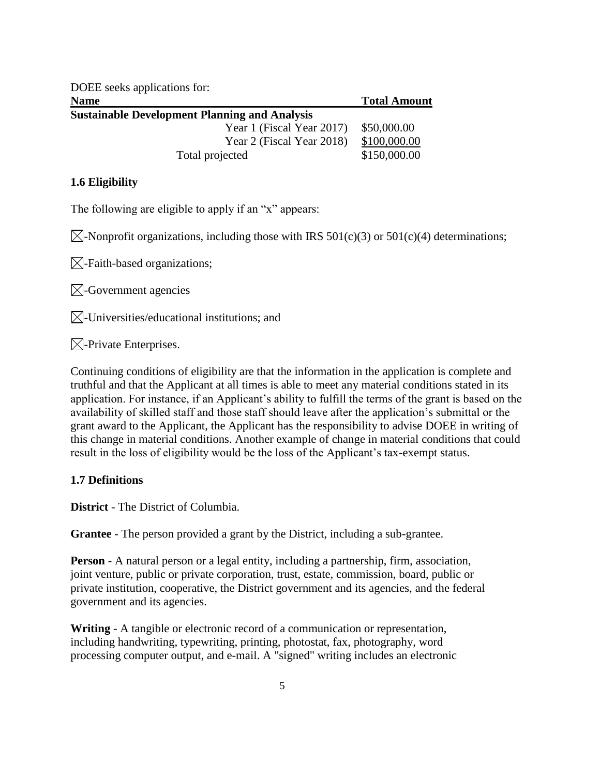<span id="page-4-0"></span>

| DOEE seeks applications for:                         |                     |  |  |
|------------------------------------------------------|---------------------|--|--|
| <b>Name</b>                                          | <b>Total Amount</b> |  |  |
| <b>Sustainable Development Planning and Analysis</b> |                     |  |  |
| Year 1 (Fiscal Year 2017)                            | \$50,000.00         |  |  |
| Year 2 (Fiscal Year 2018)                            | \$100,000.00        |  |  |
| Total projected                                      | \$150,000.00        |  |  |

## **1.6 Eligibility**

The following are eligible to apply if an "x" appears:

 $\boxtimes$ -Nonprofit organizations, including those with IRS 501(c)(3) or 501(c)(4) determinations;

 $\boxtimes$ -Faith-based organizations;

 $\boxtimes$ -Government agencies

 $\boxtimes$ -Universities/educational institutions; and

 $\boxtimes$ -Private Enterprises.

Continuing conditions of eligibility are that the information in the application is complete and truthful and that the Applicant at all times is able to meet any material conditions stated in its application. For instance, if an Applicant's ability to fulfill the terms of the grant is based on the availability of skilled staff and those staff should leave after the application's submittal or the grant award to the Applicant, the Applicant has the responsibility to advise DOEE in writing of this change in material conditions. Another example of change in material conditions that could result in the loss of eligibility would be the loss of the Applicant's tax-exempt status.

#### <span id="page-4-1"></span>**1.7 Definitions**

**District** - The District of Columbia.

**Grantee** - The person provided a grant by the District, including a sub-grantee.

**Person** - A natural person or a legal entity, including a partnership, firm, association, joint venture, public or private corporation, trust, estate, commission, board, public or private institution, cooperative, the District government and its agencies, and the federal government and its agencies.

**Writing** - A tangible or electronic record of a communication or representation, including handwriting, typewriting, printing, photostat, fax, photography, word processing computer output, and e-mail. A "signed" writing includes an electronic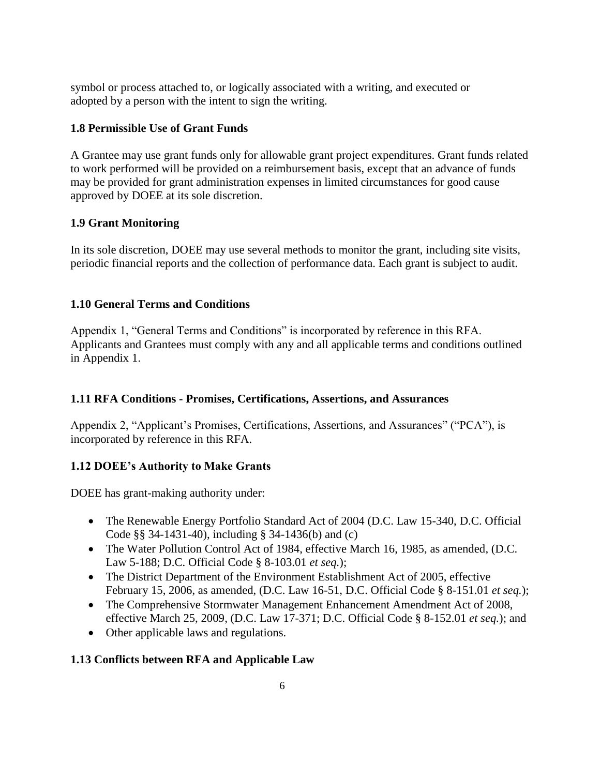symbol or process attached to, or logically associated with a writing, and executed or adopted by a person with the intent to sign the writing.

## <span id="page-5-0"></span>**1.8 Permissible Use of Grant Funds**

A Grantee may use grant funds only for allowable grant project expenditures. Grant funds related to work performed will be provided on a reimbursement basis, except that an advance of funds may be provided for grant administration expenses in limited circumstances for good cause approved by DOEE at its sole discretion.

## <span id="page-5-1"></span>**1.9 Grant Monitoring**

In its sole discretion, DOEE may use several methods to monitor the grant, including site visits, periodic financial reports and the collection of performance data. Each grant is subject to audit.

## <span id="page-5-2"></span>**1.10 General Terms and Conditions**

Appendix 1, "General Terms and Conditions" is incorporated by reference in this RFA. Applicants and Grantees must comply with any and all applicable terms and conditions outlined in Appendix 1.

## <span id="page-5-3"></span>**1.11 RFA Conditions - Promises, Certifications, Assertions, and Assurances**

Appendix 2, "Applicant's Promises, Certifications, Assertions, and Assurances" ("PCA"), is incorporated by reference in this RFA.

# <span id="page-5-4"></span>**1.12 DOEE's Authority to Make Grants**

DOEE has grant-making authority under:

- The Renewable Energy Portfolio Standard Act of 2004 (D.C. Law 15-340, D.C. Official Code §§ 34-1431-40), including § 34-1436(b) and (c)
- The Water Pollution Control Act of 1984, effective March 16, 1985, as amended, (D.C. Law 5-188; D.C. Official Code § 8-103.01 *et seq.*);
- The District Department of the Environment Establishment Act of 2005, effective February 15, 2006, as amended, (D.C. Law 16-51, D.C. Official Code § 8-151.01 *et seq.*);
- The Comprehensive Stormwater Management Enhancement Amendment Act of 2008, effective March 25, 2009, (D.C. Law 17-371; D.C. Official Code § 8-152.01 *et seq.*); and
- Other applicable laws and regulations.

# <span id="page-5-5"></span>**1.13 Conflicts between RFA and Applicable Law**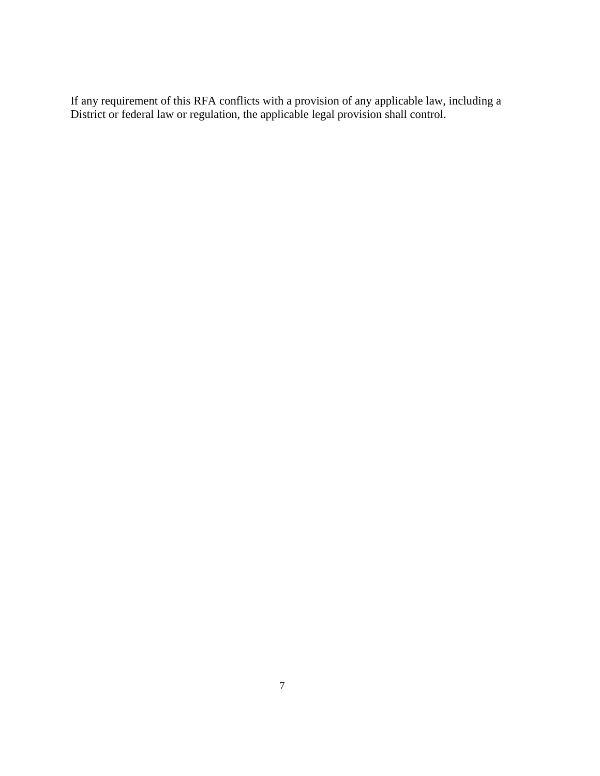If any requirement of this RFA conflicts with a provision of any applicable law, including a District or federal law or regulation, the applicable legal provision shall control.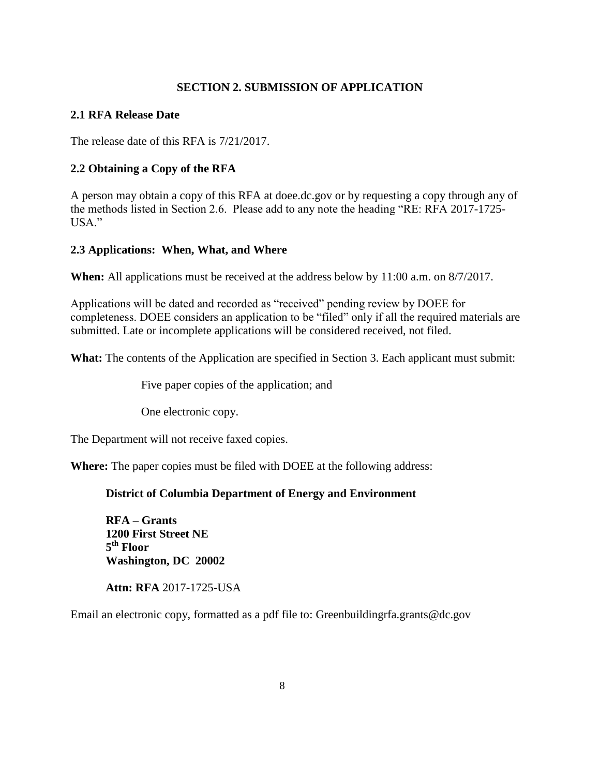### **SECTION 2. SUBMISSION OF APPLICATION**

### <span id="page-7-1"></span><span id="page-7-0"></span>**2.1 RFA Release Date**

The release date of this RFA is 7/21/2017.

## <span id="page-7-2"></span>**2.2 Obtaining a Copy of the RFA**

A person may obtain a copy of this RFA at doee.dc.gov or by requesting a copy through any of the methods listed in Section 2.6. Please add to any note the heading "RE: RFA 2017-1725- USA."

### <span id="page-7-3"></span>**2.3 Applications: When, What, and Where**

**When:** All applications must be received at the address below by 11:00 a.m. on 8/7/2017.

Applications will be dated and recorded as "received" pending review by DOEE for completeness. DOEE considers an application to be "filed" only if all the required materials are submitted. Late or incomplete applications will be considered received, not filed.

What: The contents of the Application are specified in Section 3. Each applicant must submit:

Five paper copies of the application; and

One electronic copy.

The Department will not receive faxed copies.

**Where:** The paper copies must be filed with DOEE at the following address:

## **District of Columbia Department of Energy and Environment**

**RFA – Grants 1200 First Street NE 5 th Floor Washington, DC 20002**

**Attn: RFA** 2017-1725-USA

<span id="page-7-4"></span>Email an electronic copy, formatted as a pdf file to: Greenbuilding rfa.grants@dc.gov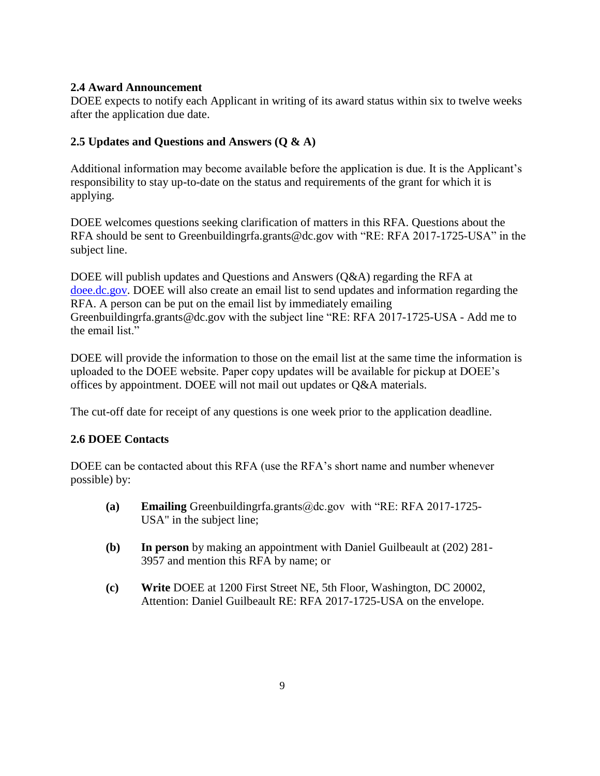## **2.4 Award Announcement**

DOEE expects to notify each Applicant in writing of its award status within six to twelve weeks after the application due date.

## <span id="page-8-0"></span>**2.5 Updates and Questions and Answers (Q & A)**

Additional information may become available before the application is due. It is the Applicant's responsibility to stay up-to-date on the status and requirements of the grant for which it is applying.

DOEE welcomes questions seeking clarification of matters in this RFA. Questions about the RFA should be sent to Greenbuildingrfa.grants@dc.gov with "RE: RFA 2017-1725-USA" in the subject line.

DOEE will publish updates and Questions and Answers  $(0&A)$  regarding the RFA at [doee.dc.gov.](http://doee.dc.gov/) DOEE will also create an email list to send updates and information regarding the RFA. A person can be put on the email list by immediately emailing Greenbuildingrfa.grants@dc.gov with the subject line "RE: RFA 2017-1725-USA - Add me to the email list."

DOEE will provide the information to those on the email list at the same time the information is uploaded to the DOEE website. Paper copy updates will be available for pickup at DOEE's offices by appointment. DOEE will not mail out updates or Q&A materials.

The cut-off date for receipt of any questions is one week prior to the application deadline.

## <span id="page-8-1"></span>**2.6 DOEE Contacts**

DOEE can be contacted about this RFA (use the RFA's short name and number whenever possible) by:

- **(a) Emailing** Greenbuildingrfa.grants@dc.gov with "RE: RFA 2017-1725- USA" in the subject line;
- **(b) In person** by making an appointment with Daniel Guilbeault at (202) 281- 3957 and mention this RFA by name; or
- <span id="page-8-2"></span>**(c) Write** DOEE at 1200 First Street NE, 5th Floor, Washington, DC 20002, Attention: Daniel Guilbeault RE: RFA 2017-1725-USA on the envelope.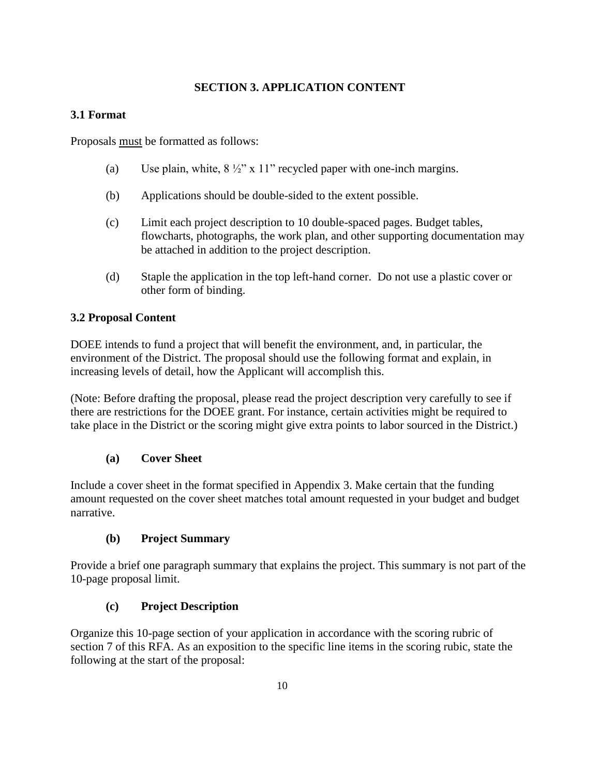## **SECTION 3. APPLICATION CONTENT**

## <span id="page-9-0"></span>**3.1 Format**

Proposals must be formatted as follows:

- (a) Use plain, white,  $8\frac{1}{2}$ " x 11" recycled paper with one-inch margins.
- (b) Applications should be double-sided to the extent possible.
- (c) Limit each project description to 10 double-spaced pages. Budget tables, flowcharts, photographs, the work plan, and other supporting documentation may be attached in addition to the project description.
- (d) Staple the application in the top left-hand corner. Do not use a plastic cover or other form of binding.

## <span id="page-9-1"></span>**3.2 Proposal Content**

DOEE intends to fund a project that will benefit the environment, and, in particular, the environment of the District. The proposal should use the following format and explain, in increasing levels of detail, how the Applicant will accomplish this.

(Note: Before drafting the proposal, please read the project description very carefully to see if there are restrictions for the DOEE grant. For instance, certain activities might be required to take place in the District or the scoring might give extra points to labor sourced in the District.)

## **(a) Cover Sheet**

Include a cover sheet in the format specified in Appendix 3. Make certain that the funding amount requested on the cover sheet matches total amount requested in your budget and budget narrative.

## **(b) Project Summary**

Provide a brief one paragraph summary that explains the project. This summary is not part of the 10-page proposal limit.

## **(c) Project Description**

Organize this 10-page section of your application in accordance with the scoring rubric of section 7 of this RFA. As an exposition to the specific line items in the scoring rubic, state the following at the start of the proposal: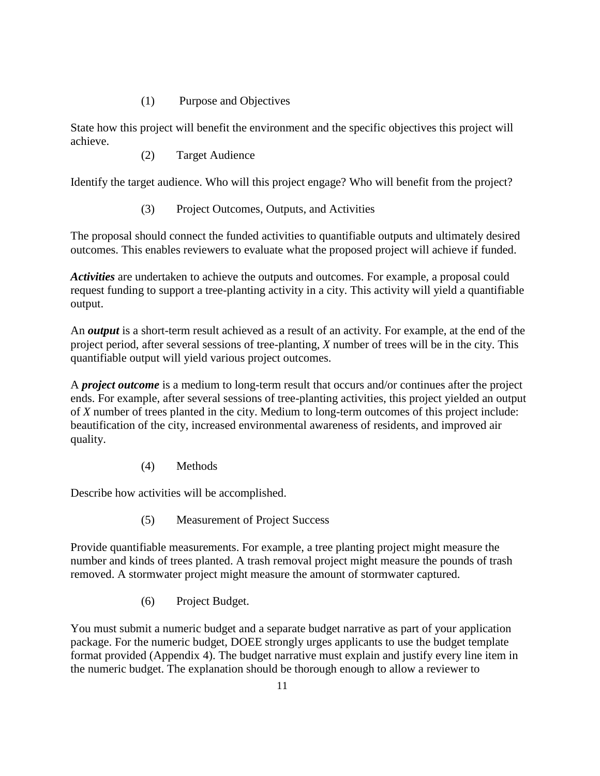### (1) Purpose and Objectives

State how this project will benefit the environment and the specific objectives this project will achieve.

(2) Target Audience

Identify the target audience. Who will this project engage? Who will benefit from the project?

(3) Project Outcomes, Outputs, and Activities

The proposal should connect the funded activities to quantifiable outputs and ultimately desired outcomes. This enables reviewers to evaluate what the proposed project will achieve if funded.

*Activities* are undertaken to achieve the outputs and outcomes. For example, a proposal could request funding to support a tree-planting activity in a city. This activity will yield a quantifiable output.

An *output* is a short-term result achieved as a result of an activity. For example, at the end of the project period, after several sessions of tree-planting, *X* number of trees will be in the city. This quantifiable output will yield various project outcomes.

A *project outcome* is a medium to long-term result that occurs and/or continues after the project ends. For example, after several sessions of tree-planting activities, this project yielded an output of *X* number of trees planted in the city. Medium to long-term outcomes of this project include: beautification of the city, increased environmental awareness of residents, and improved air quality.

(4) Methods

Describe how activities will be accomplished.

(5) Measurement of Project Success

Provide quantifiable measurements. For example, a tree planting project might measure the number and kinds of trees planted. A trash removal project might measure the pounds of trash removed. A stormwater project might measure the amount of stormwater captured.

(6) Project Budget.

You must submit a numeric budget and a separate budget narrative as part of your application package. For the numeric budget, DOEE strongly urges applicants to use the budget template format provided (Appendix 4). The budget narrative must explain and justify every line item in the numeric budget. The explanation should be thorough enough to allow a reviewer to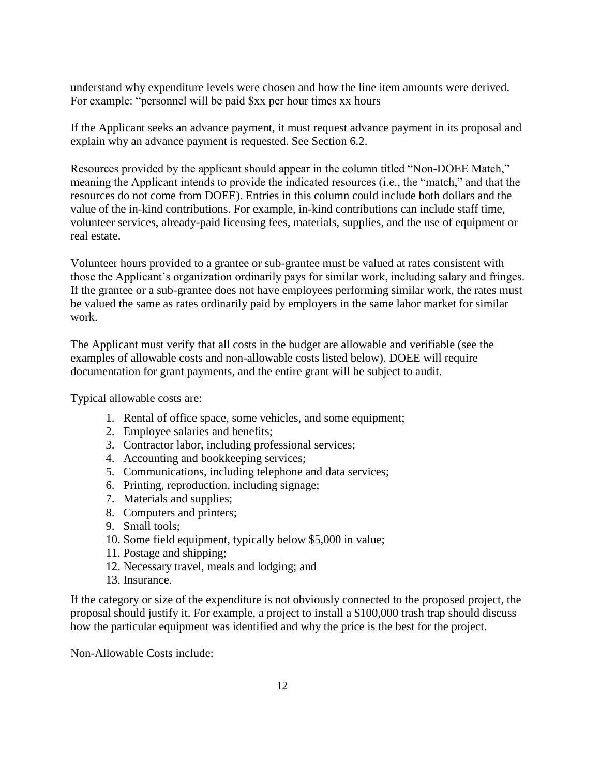understand why expenditure levels were chosen and how the line item amounts were derived. For example: "personnel will be paid \$xx per hour times xx hours

If the Applicant seeks an advance payment, it must request advance payment in its proposal and explain why an advance payment is requested. See Section 6.2.

Resources provided by the applicant should appear in the column titled "Non-DOEE Match," meaning the Applicant intends to provide the indicated resources (i.e., the "match," and that the resources do not come from DOEE). Entries in this column could include both dollars and the value of the in-kind contributions. For example, in-kind contributions can include staff time, volunteer services, already-paid licensing fees, materials, supplies, and the use of equipment or real estate.

Volunteer hours provided to a grantee or sub-grantee must be valued at rates consistent with those the Applicant's organization ordinarily pays for similar work, including salary and fringes. If the grantee or a sub-grantee does not have employees performing similar work, the rates must be valued the same as rates ordinarily paid by employers in the same labor market for similar work.

The Applicant must verify that all costs in the budget are allowable and verifiable (see the examples of allowable costs and non-allowable costs listed below). DOEE will require documentation for grant payments, and the entire grant will be subject to audit.

Typical allowable costs are:

- 1. Rental of office space, some vehicles, and some equipment;
- 2. Employee salaries and benefits;
- 3. Contractor labor, including professional services;
- 4. Accounting and bookkeeping services;
- 5. Communications, including telephone and data services;
- 6. Printing, reproduction, including signage;
- 7. Materials and supplies;
- 8. Computers and printers;
- 9. Small tools;
- 10. Some field equipment, typically below \$5,000 in value;
- 11. Postage and shipping;
- 12. Necessary travel, meals and lodging; and
- 13. Insurance.

If the category or size of the expenditure is not obviously connected to the proposed project, the proposal should justify it. For example, a project to install a \$100,000 trash trap should discuss how the particular equipment was identified and why the price is the best for the project.

Non-Allowable Costs include: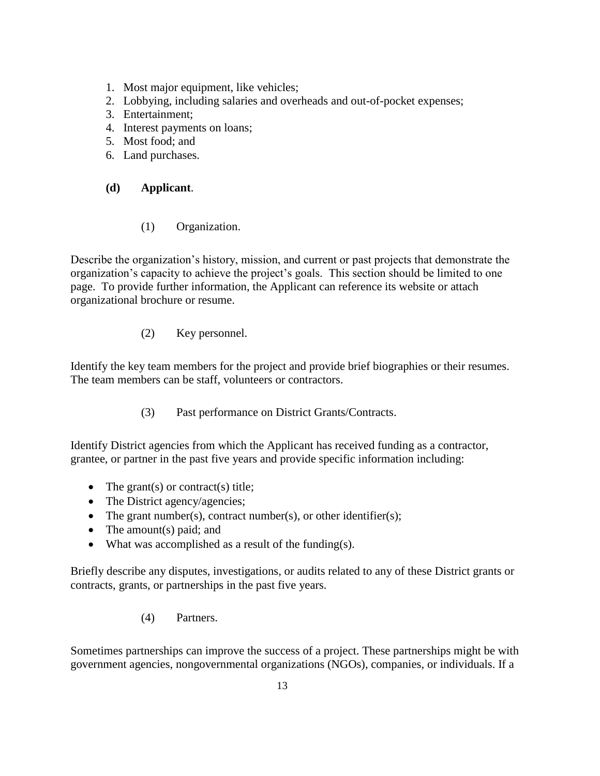- 1. Most major equipment, like vehicles;
- 2. Lobbying, including salaries and overheads and out-of-pocket expenses;
- 3. Entertainment;
- 4. Interest payments on loans;
- 5. Most food; and
- 6. Land purchases.

### **(d) Applicant**.

#### (1) Organization.

Describe the organization's history, mission, and current or past projects that demonstrate the organization's capacity to achieve the project's goals. This section should be limited to one page. To provide further information, the Applicant can reference its website or attach organizational brochure or resume.

(2) Key personnel.

Identify the key team members for the project and provide brief biographies or their resumes. The team members can be staff, volunteers or contractors.

(3) Past performance on District Grants/Contracts.

Identify District agencies from which the Applicant has received funding as a contractor, grantee, or partner in the past five years and provide specific information including:

- The grant(s) or contract(s) title;
- The District agency/agencies;
- The grant number(s), contract number(s), or other identifier(s);
- $\bullet$  The amount(s) paid; and
- What was accomplished as a result of the funding(s).

Briefly describe any disputes, investigations, or audits related to any of these District grants or contracts, grants, or partnerships in the past five years.

(4) Partners.

Sometimes partnerships can improve the success of a project. These partnerships might be with government agencies, nongovernmental organizations (NGOs), companies, or individuals. If a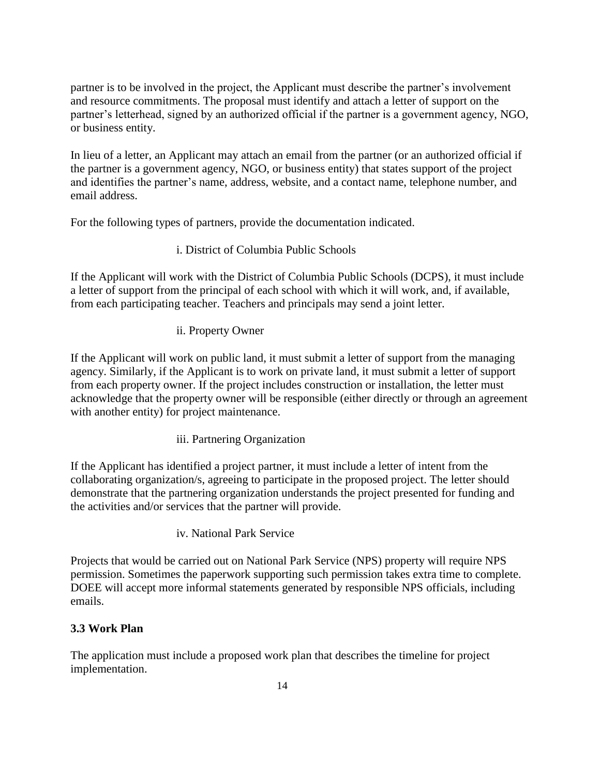partner is to be involved in the project, the Applicant must describe the partner's involvement and resource commitments. The proposal must identify and attach a letter of support on the partner's letterhead, signed by an authorized official if the partner is a government agency, NGO, or business entity.

In lieu of a letter, an Applicant may attach an email from the partner (or an authorized official if the partner is a government agency, NGO, or business entity) that states support of the project and identifies the partner's name, address, website, and a contact name, telephone number, and email address.

For the following types of partners, provide the documentation indicated.

## i. District of Columbia Public Schools

If the Applicant will work with the District of Columbia Public Schools (DCPS), it must include a letter of support from the principal of each school with which it will work, and, if available, from each participating teacher. Teachers and principals may send a joint letter.

## ii. Property Owner

If the Applicant will work on public land, it must submit a letter of support from the managing agency. Similarly, if the Applicant is to work on private land, it must submit a letter of support from each property owner. If the project includes construction or installation, the letter must acknowledge that the property owner will be responsible (either directly or through an agreement with another entity) for project maintenance.

iii. Partnering Organization

If the Applicant has identified a project partner, it must include a letter of intent from the collaborating organization/s, agreeing to participate in the proposed project. The letter should demonstrate that the partnering organization understands the project presented for funding and the activities and/or services that the partner will provide.

iv. National Park Service

Projects that would be carried out on National Park Service (NPS) property will require NPS permission. Sometimes the paperwork supporting such permission takes extra time to complete. DOEE will accept more informal statements generated by responsible NPS officials, including emails.

## <span id="page-13-0"></span>**3.3 Work Plan**

The application must include a proposed work plan that describes the timeline for project implementation.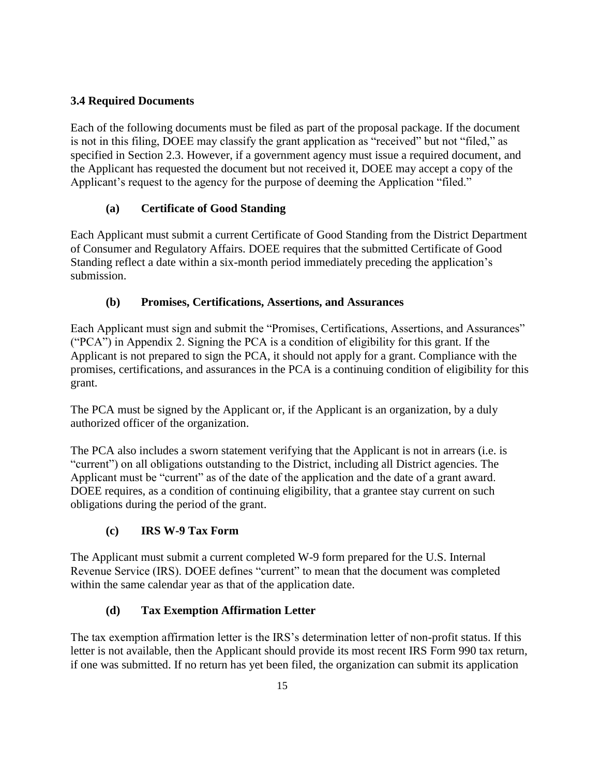## <span id="page-14-0"></span>**3.4 Required Documents**

Each of the following documents must be filed as part of the proposal package. If the document is not in this filing, DOEE may classify the grant application as "received" but not "filed," as specified in Section 2.3. However, if a government agency must issue a required document, and the Applicant has requested the document but not received it, DOEE may accept a copy of the Applicant's request to the agency for the purpose of deeming the Application "filed."

## **(a) Certificate of Good Standing**

Each Applicant must submit a current Certificate of Good Standing from the District Department of Consumer and Regulatory Affairs. DOEE requires that the submitted Certificate of Good Standing reflect a date within a six-month period immediately preceding the application's submission.

## **(b) Promises, Certifications, Assertions, and Assurances**

Each Applicant must sign and submit the "Promises, Certifications, Assertions, and Assurances" ("PCA") in Appendix 2. Signing the PCA is a condition of eligibility for this grant. If the Applicant is not prepared to sign the PCA, it should not apply for a grant. Compliance with the promises, certifications, and assurances in the PCA is a continuing condition of eligibility for this grant.

The PCA must be signed by the Applicant or, if the Applicant is an organization, by a duly authorized officer of the organization.

The PCA also includes a sworn statement verifying that the Applicant is not in arrears (i.e. is "current") on all obligations outstanding to the District, including all District agencies. The Applicant must be "current" as of the date of the application and the date of a grant award. DOEE requires, as a condition of continuing eligibility, that a grantee stay current on such obligations during the period of the grant.

## **(c) IRS W-9 Tax Form**

The Applicant must submit a current completed W-9 form prepared for the U.S. Internal Revenue Service (IRS). DOEE defines "current" to mean that the document was completed within the same calendar year as that of the application date.

## **(d) Tax Exemption Affirmation Letter**

The tax exemption affirmation letter is the IRS's determination letter of non-profit status. If this letter is not available, then the Applicant should provide its most recent IRS Form 990 tax return, if one was submitted. If no return has yet been filed, the organization can submit its application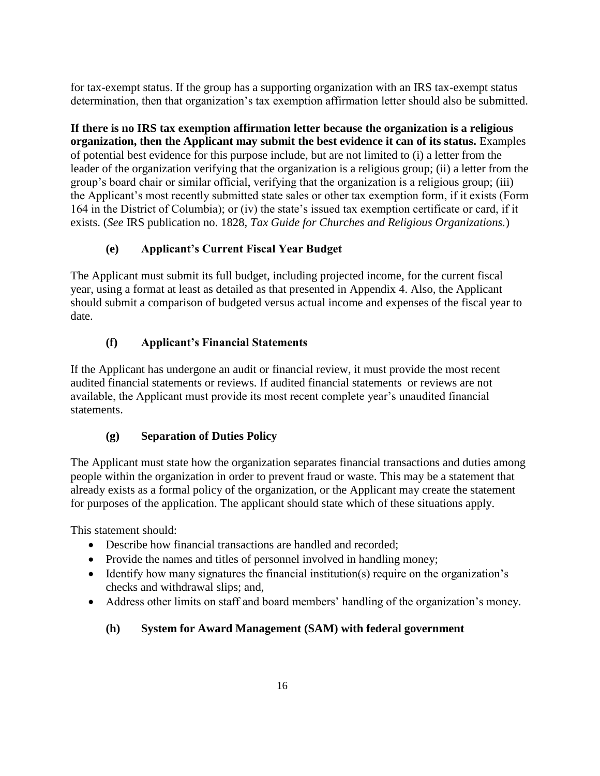for tax-exempt status. If the group has a supporting organization with an IRS tax-exempt status determination, then that organization's tax exemption affirmation letter should also be submitted.

**If there is no IRS tax exemption affirmation letter because the organization is a religious organization, then the Applicant may submit the best evidence it can of its status.** Examples of potential best evidence for this purpose include, but are not limited to (i) a letter from the leader of the organization verifying that the organization is a religious group; (ii) a letter from the group's board chair or similar official, verifying that the organization is a religious group; (iii) the Applicant's most recently submitted state sales or other tax exemption form, if it exists (Form 164 in the District of Columbia); or (iv) the state's issued tax exemption certificate or card, if it exists. (*See* IRS publication no. 1828, *Tax Guide for Churches and Religious Organizations.*)

# **(e) Applicant's Current Fiscal Year Budget**

The Applicant must submit its full budget, including projected income, for the current fiscal year, using a format at least as detailed as that presented in Appendix 4. Also, the Applicant should submit a comparison of budgeted versus actual income and expenses of the fiscal year to date.

# **(f) Applicant's Financial Statements**

If the Applicant has undergone an audit or financial review, it must provide the most recent audited financial statements or reviews. If audited financial statements or reviews are not available, the Applicant must provide its most recent complete year's unaudited financial statements.

# **(g) Separation of Duties Policy**

The Applicant must state how the organization separates financial transactions and duties among people within the organization in order to prevent fraud or waste. This may be a statement that already exists as a formal policy of the organization, or the Applicant may create the statement for purposes of the application. The applicant should state which of these situations apply.

This statement should:

- Describe how financial transactions are handled and recorded;
- Provide the names and titles of personnel involved in handling money;
- $\bullet$  Identify how many signatures the financial institution(s) require on the organization's checks and withdrawal slips; and,
- Address other limits on staff and board members' handling of the organization's money.

# **(h) System for Award Management (SAM) with federal government**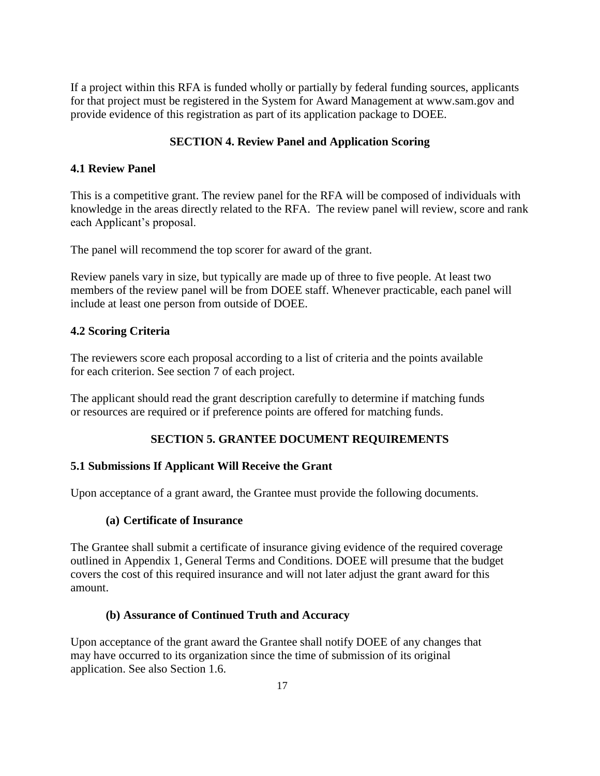If a project within this RFA is funded wholly or partially by federal funding sources, applicants for that project must be registered in the System for Award Management at www.sam.gov and provide evidence of this registration as part of its application package to DOEE.

## **SECTION 4. Review Panel and Application Scoring**

## <span id="page-16-1"></span><span id="page-16-0"></span>**4.1 Review Panel**

This is a competitive grant. The review panel for the RFA will be composed of individuals with knowledge in the areas directly related to the RFA. The review panel will review, score and rank each Applicant's proposal.

The panel will recommend the top scorer for award of the grant.

Review panels vary in size, but typically are made up of three to five people. At least two members of the review panel will be from DOEE staff. Whenever practicable, each panel will include at least one person from outside of DOEE.

## <span id="page-16-2"></span>**4.2 Scoring Criteria**

The reviewers score each proposal according to a list of criteria and the points available for each criterion. See section 7 of each project.

The applicant should read the grant description carefully to determine if matching funds or resources are required or if preference points are offered for matching funds.

# **SECTION 5. GRANTEE DOCUMENT REQUIREMENTS**

## <span id="page-16-4"></span><span id="page-16-3"></span>**5.1 Submissions If Applicant Will Receive the Grant**

Upon acceptance of a grant award, the Grantee must provide the following documents.

## **(a) Certificate of Insurance**

The Grantee shall submit a certificate of insurance giving evidence of the required coverage outlined in Appendix 1, General Terms and Conditions. DOEE will presume that the budget covers the cost of this required insurance and will not later adjust the grant award for this amount.

## **(b) Assurance of Continued Truth and Accuracy**

<span id="page-16-5"></span>Upon acceptance of the grant award the Grantee shall notify DOEE of any changes that may have occurred to its organization since the time of submission of its original application. See also Section 1.6.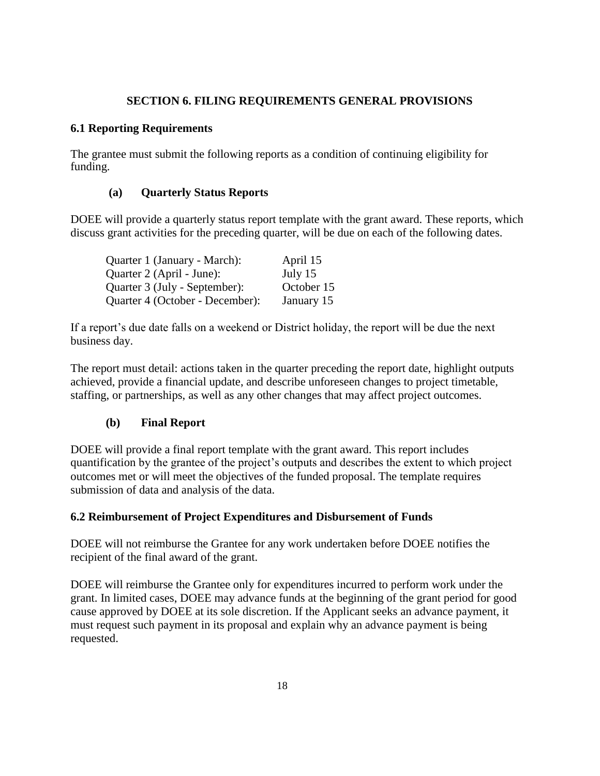#### **SECTION 6. FILING REQUIREMENTS GENERAL PROVISIONS**

#### <span id="page-17-0"></span>**6.1 Reporting Requirements**

The grantee must submit the following reports as a condition of continuing eligibility for funding.

#### **(a) Quarterly Status Reports**

DOEE will provide a quarterly status report template with the grant award. These reports, which discuss grant activities for the preceding quarter, will be due on each of the following dates.

| Quarter 1 (January - March):    | April 15   |
|---------------------------------|------------|
| Quarter 2 (April - June):       | July $15$  |
| Quarter 3 (July - September):   | October 15 |
| Quarter 4 (October - December): | January 15 |

If a report's due date falls on a weekend or District holiday, the report will be due the next business day.

The report must detail: actions taken in the quarter preceding the report date, highlight outputs achieved, provide a financial update, and describe unforeseen changes to project timetable, staffing, or partnerships, as well as any other changes that may affect project outcomes.

#### **(b) Final Report**

DOEE will provide a final report template with the grant award. This report includes quantification by the grantee of the project's outputs and describes the extent to which project outcomes met or will meet the objectives of the funded proposal. The template requires submission of data and analysis of the data.

#### **6.2 Reimbursement of Project Expenditures and Disbursement of Funds**

DOEE will not reimburse the Grantee for any work undertaken before DOEE notifies the recipient of the final award of the grant.

DOEE will reimburse the Grantee only for expenditures incurred to perform work under the grant. In limited cases, DOEE may advance funds at the beginning of the grant period for good cause approved by DOEE at its sole discretion. If the Applicant seeks an advance payment, it must request such payment in its proposal and explain why an advance payment is being requested.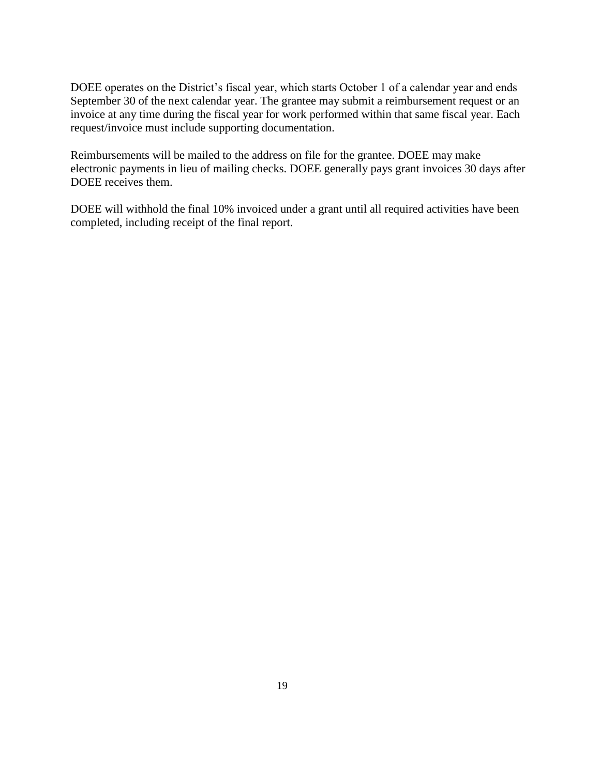DOEE operates on the District's fiscal year, which starts October 1 of a calendar year and ends September 30 of the next calendar year. The grantee may submit a reimbursement request or an invoice at any time during the fiscal year for work performed within that same fiscal year. Each request/invoice must include supporting documentation.

Reimbursements will be mailed to the address on file for the grantee. DOEE may make electronic payments in lieu of mailing checks. DOEE generally pays grant invoices 30 days after DOEE receives them.

DOEE will withhold the final 10% invoiced under a grant until all required activities have been completed, including receipt of the final report.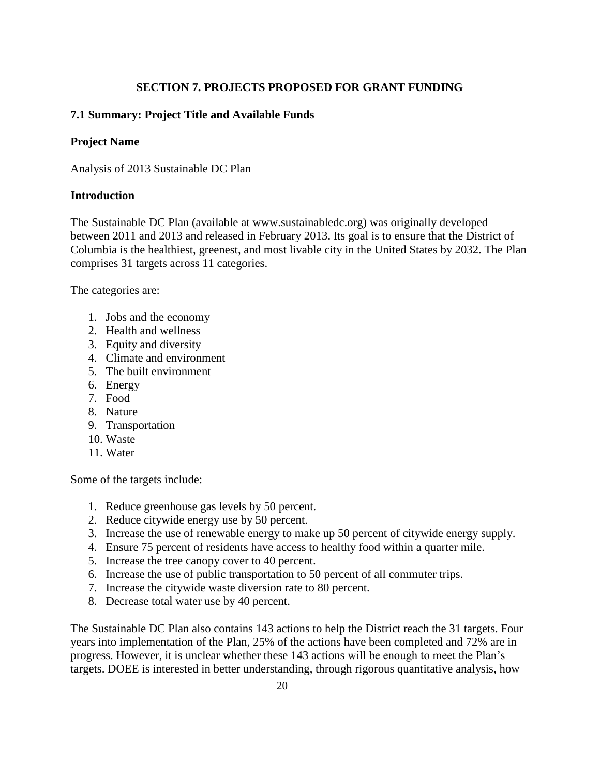## **SECTION 7. PROJECTS PROPOSED FOR GRANT FUNDING**

### <span id="page-19-1"></span><span id="page-19-0"></span>**7.1 Summary: Project Title and Available Funds**

#### **Project Name**

Analysis of 2013 Sustainable DC Plan

### **Introduction**

The Sustainable DC Plan (available at www.sustainabledc.org) was originally developed between 2011 and 2013 and released in February 2013. Its goal is to ensure that the District of Columbia is the healthiest, greenest, and most livable city in the United States by 2032. The Plan comprises 31 targets across 11 categories.

The categories are:

- 1. Jobs and the economy
- 2. Health and wellness
- 3. Equity and diversity
- 4. Climate and environment
- 5. The built environment
- 6. Energy
- 7. Food
- 8. Nature
- 9. Transportation
- 10. Waste
- 11. Water

Some of the targets include:

- 1. Reduce greenhouse gas levels by 50 percent.
- 2. Reduce citywide energy use by 50 percent.
- 3. Increase the use of renewable energy to make up 50 percent of citywide energy supply.
- 4. Ensure 75 percent of residents have access to healthy food within a quarter mile.
- 5. Increase the tree canopy cover to 40 percent.
- 6. Increase the use of public transportation to 50 percent of all commuter trips.
- 7. Increase the citywide waste diversion rate to 80 percent.
- 8. Decrease total water use by 40 percent.

The Sustainable DC Plan also contains 143 actions to help the District reach the 31 targets. Four years into implementation of the Plan, 25% of the actions have been completed and 72% are in progress. However, it is unclear whether these 143 actions will be enough to meet the Plan's targets. DOEE is interested in better understanding, through rigorous quantitative analysis, how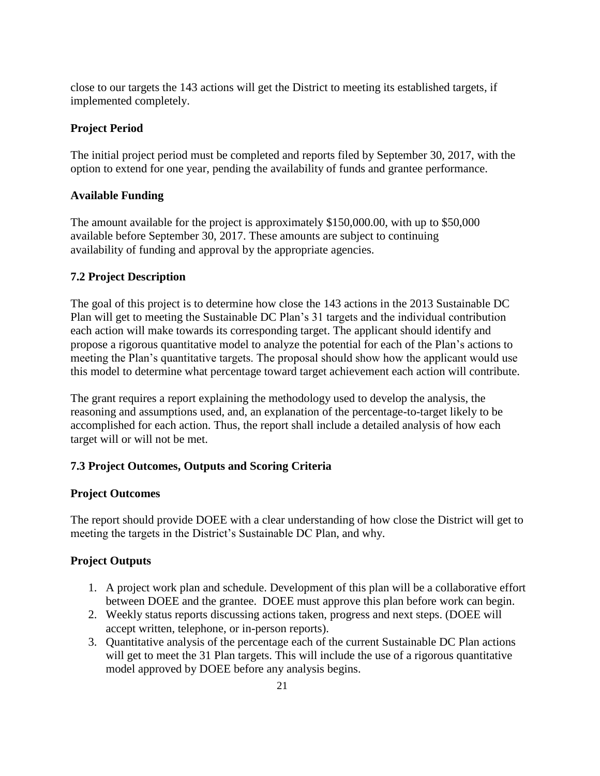close to our targets the 143 actions will get the District to meeting its established targets, if implemented completely.

## **Project Period**

The initial project period must be completed and reports filed by September 30, 2017, with the option to extend for one year, pending the availability of funds and grantee performance.

### **Available Funding**

The amount available for the project is approximately \$150,000.00, with up to \$50,000 available before September 30, 2017. These amounts are subject to continuing availability of funding and approval by the appropriate agencies.

## **7.2 Project Description**

The goal of this project is to determine how close the 143 actions in the 2013 Sustainable DC Plan will get to meeting the Sustainable DC Plan's 31 targets and the individual contribution each action will make towards its corresponding target. The applicant should identify and propose a rigorous quantitative model to analyze the potential for each of the Plan's actions to meeting the Plan's quantitative targets. The proposal should show how the applicant would use this model to determine what percentage toward target achievement each action will contribute.

The grant requires a report explaining the methodology used to develop the analysis, the reasoning and assumptions used, and, an explanation of the percentage-to-target likely to be accomplished for each action. Thus, the report shall include a detailed analysis of how each target will or will not be met.

## **7.3 Project Outcomes, Outputs and Scoring Criteria**

#### **Project Outcomes**

The report should provide DOEE with a clear understanding of how close the District will get to meeting the targets in the District's Sustainable DC Plan, and why.

## **Project Outputs**

- 1. A project work plan and schedule. Development of this plan will be a collaborative effort between DOEE and the grantee. DOEE must approve this plan before work can begin.
- 2. Weekly status reports discussing actions taken, progress and next steps. (DOEE will accept written, telephone, or in-person reports).
- 3. Quantitative analysis of the percentage each of the current Sustainable DC Plan actions will get to meet the 31 Plan targets. This will include the use of a rigorous quantitative model approved by DOEE before any analysis begins.